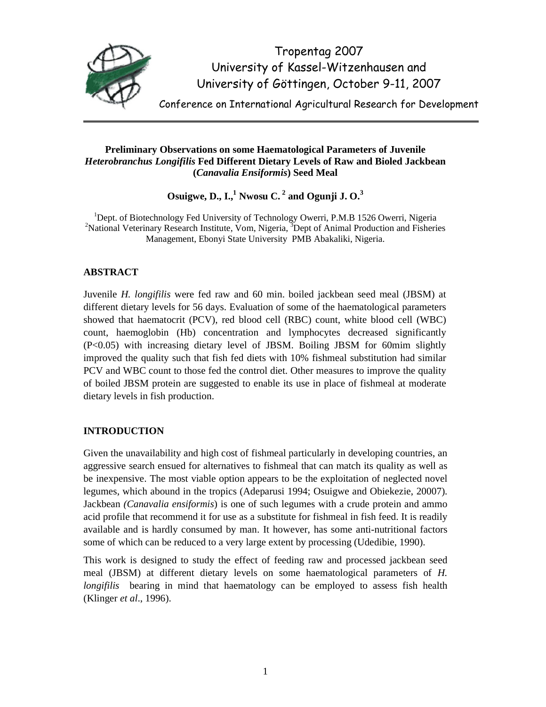

Tropentag 2007 University of Kassel-Witzenhausen and University of Göttingen, October 9-11, 2007

Conference on International Agricultural Research for Development

## **Preliminary Observations on some Haematological Parameters of Juvenile**  *Heterobranchus Longifilis* **Fed Different Dietary Levels of Raw and Bioled Jackbean (***Canavalia Ensiformis***) Seed Meal**

**Osuigwe, D., I.,<sup>1</sup> Nwosu C.<sup>2</sup> and Ogunji J. O.<sup>3</sup>** 

<sup>1</sup>Dept. of Biotechnology Fed University of Technology Owerri, P.M.B 1526 Owerri, Nigeria <sup>2</sup>National Veterinary Research Institute, Vom, Nigeria,  ${}^{3}$ Dept of Animal Production and Fisheries Management, Ebonyi State University PMB Abakaliki, Nigeria.

# **ABSTRACT**

Juvenile *H. longifilis* were fed raw and 60 min. boiled jackbean seed meal (JBSM) at different dietary levels for 56 days. Evaluation of some of the haematological parameters showed that haematocrit (PCV), red blood cell (RBC) count, white blood cell (WBC) count, haemoglobin (Hb) concentration and lymphocytes decreased significantly (P<0.05) with increasing dietary level of JBSM. Boiling JBSM for 60mim slightly improved the quality such that fish fed diets with 10% fishmeal substitution had similar PCV and WBC count to those fed the control diet. Other measures to improve the quality of boiled JBSM protein are suggested to enable its use in place of fishmeal at moderate dietary levels in fish production.

## **INTRODUCTION**

Given the unavailability and high cost of fishmeal particularly in developing countries, an aggressive search ensued for alternatives to fishmeal that can match its quality as well as be inexpensive. The most viable option appears to be the exploitation of neglected novel legumes, which abound in the tropics (Adeparusi 1994; Osuigwe and Obiekezie, 20007). Jackbean *(Canavalia ensiformis*) is one of such legumes with a crude protein and ammo acid profile that recommend it for use as a substitute for fishmeal in fish feed. It is readily available and is hardly consumed by man. It however, has some anti-nutritional factors some of which can be reduced to a very large extent by processing (Udedibie, 1990).

This work is designed to study the effect of feeding raw and processed jackbean seed meal (JBSM) at different dietary levels on some haematological parameters of *H. longifilis* bearing in mind that haematology can be employed to assess fish health (Klinger *et al*., 1996).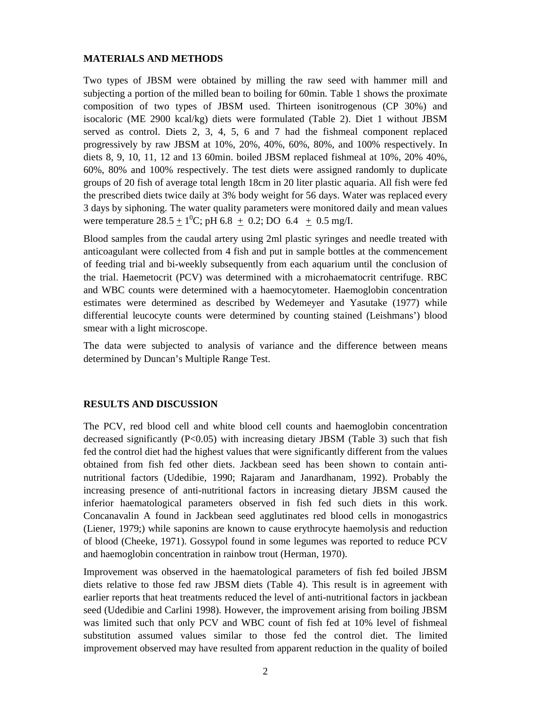## **MATERIALS AND METHODS**

Two types of JBSM were obtained by milling the raw seed with hammer mill and subjecting a portion of the milled bean to boiling for 60min. Table 1 shows the proximate composition of two types of JBSM used. Thirteen isonitrogenous (CP 30%) and isocaloric (ME 2900 kcal/kg) diets were formulated (Table 2). Diet 1 without JBSM served as control. Diets 2, 3, 4, 5, 6 and 7 had the fishmeal component replaced progressively by raw JBSM at 10%, 20%, 40%, 60%, 80%, and 100% respectively. In diets 8, 9, 10, 11, 12 and 13 60min. boiled JBSM replaced fishmeal at 10%, 20% 40%, 60%, 80% and 100% respectively. The test diets were assigned randomly to duplicate groups of 20 fish of average total length 18cm in 20 liter plastic aquaria. All fish were fed the prescribed diets twice daily at 3% body weight for 56 days. Water was replaced every 3 days by siphoning. The water quality parameters were monitored daily and mean values were temperature  $28.5 \pm 1^{0}$ C; pH 6.8  $\pm$  0.2; DO 6.4  $\pm$  0.5 mg/I.

Blood samples from the caudal artery using 2ml plastic syringes and needle treated with anticoagulant were collected from 4 fish and put in sample bottles at the commencement of feeding trial and bi-weekly subsequently from each aquarium until the conclusion of the trial. Haemetocrit (PCV) was determined with a microhaematocrit centrifuge. RBC and WBC counts were determined with a haemocytometer. Haemoglobin concentration estimates were determined as described by Wedemeyer and Yasutake (1977) while differential leucocyte counts were determined by counting stained (Leishmans') blood smear with a light microscope.

The data were subjected to analysis of variance and the difference between means determined by Duncan's Multiple Range Test.

### **RESULTS AND DISCUSSION**

The PCV, red blood cell and white blood cell counts and haemoglobin concentration decreased significantly  $(P<0.05)$  with increasing dietary JBSM (Table 3) such that fish fed the control diet had the highest values that were significantly different from the values obtained from fish fed other diets. Jackbean seed has been shown to contain antinutritional factors (Udedibie, 1990; Rajaram and Janardhanam, 1992). Probably the increasing presence of anti-nutritional factors in increasing dietary JBSM caused the inferior haematological parameters observed in fish fed such diets in this work. Concanavalin A found in Jackbean seed agglutinates red blood cells in monogastrics (Liener, 1979;) while saponins are known to cause erythrocyte haemolysis and reduction of blood (Cheeke, 1971). Gossypol found in some legumes was reported to reduce PCV and haemoglobin concentration in rainbow trout (Herman, 1970).

Improvement was observed in the haematological parameters of fish fed boiled JBSM diets relative to those fed raw JBSM diets (Table 4). This result is in agreement with earlier reports that heat treatments reduced the level of anti-nutritional factors in jackbean seed (Udedibie and Carlini 1998). However, the improvement arising from boiling JBSM was limited such that only PCV and WBC count of fish fed at 10% level of fishmeal substitution assumed values similar to those fed the control diet. The limited improvement observed may have resulted from apparent reduction in the quality of boiled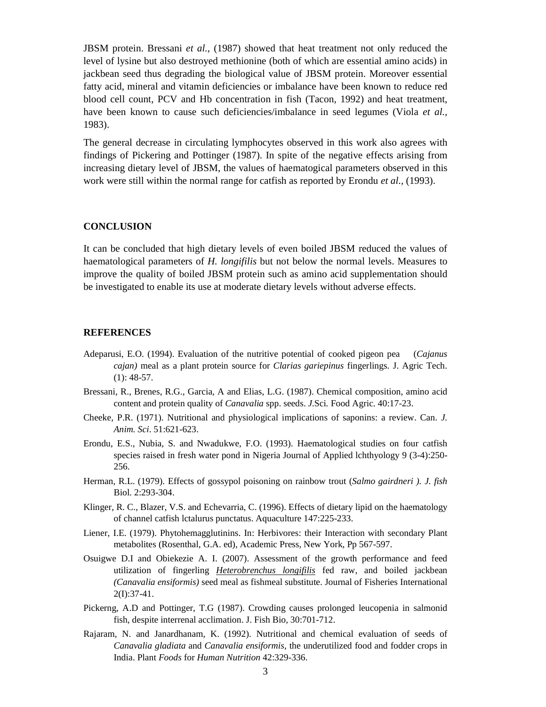JBSM protein. Bressani *et al.,* (1987) showed that heat treatment not only reduced the level of lysine but also destroyed methionine (both of which are essential amino acids) in jackbean seed thus degrading the biological value of JBSM protein. Moreover essential fatty acid, mineral and vitamin deficiencies or imbalance have been known to reduce red blood cell count, PCV and Hb concentration in fish (Tacon, 1992) and heat treatment, have been known to cause such deficiencies/imbalance in seed legumes (Viola *et al.,* 1983).

The general decrease in circulating lymphocytes observed in this work also agrees with findings of Pickering and Pottinger (1987). In spite of the negative effects arising from increasing dietary level of JBSM, the values of haematogical parameters observed in this work were still within the normal range for catfish as reported by Erondu *et al.,* (1993).

#### **CONCLUSION**

It can be concluded that high dietary levels of even boiled JBSM reduced the values of haematological parameters of *H. longifilis* but not below the normal levels. Measures to improve the quality of boiled JBSM protein such as amino acid supplementation should be investigated to enable its use at moderate dietary levels without adverse effects.

#### **REFERENCES**

- Adeparusi, E.O. (1994). Evaluation of the nutritive potential of cooked pigeon pea (*Cajanus cajan)* meal as a plant protein source for *Clarias gariepinus* fingerlings. J. Agric Tech.  $(1): 48-57.$
- Bressani, R., Brenes, R.G., Garcia, A and Elias, L.G. (1987). Chemical composition, amino acid content and protein quality of *Canavalia* spp. seeds. *J.*Sci*.* Food Agric. 40:17-23.
- Cheeke, P.R. (1971). Nutritional and physiological implications of saponins: a review. Can. *J. Anim. Sci*. 51:621-623.
- Erondu, E.S., Nubia, S. and Nwadukwe, F.O. (1993). Haematological studies on four catfish species raised in fresh water pond in Nigeria Journal of Applied lchthyology 9 (3-4):250- 256.
- Herman, R.L. (1979). Effects of gossypol poisoning on rainbow trout (*Salmo gairdneri ). J. fish*  Biol. 2:293-304.
- Klinger, R. C., Blazer, V.S. and Echevarria, C. (1996). Effects of dietary lipid on the haematology of channel catfish lctalurus punctatus. Aquaculture 147:225-233.
- Liener, I.E. (1979). Phytohemagglutinins. In: Herbivores: their Interaction with secondary Plant metabolites (Rosenthal, G.A. ed), Academic Press, New York, Pp 567-597.
- Osuigwe D.I and Obiekezie A. I. (2007). Assessment of the growth performance and feed utilization of fingerling *Heterobrenchus longifilis* fed raw, and boiled jackbean *(Canavalia ensiformis)* seed meal as fishmeal substitute. Journal of Fisheries International 2(I):37-41.
- Pickerng, A.D and Pottinger, T.G (1987). Crowding causes prolonged leucopenia in salmonid fish, despite interrenal acclimation. J. Fish Bio, 30:701-712.
- Rajaram, N. and Janardhanam, K. (1992). Nutritional and chemical evaluation of seeds of *Canavalia gladiata* and *Canavalia ensiformis,* the underutilized food and fodder crops in India. Plant *Foods* for *Human Nutrition* 42:329-336.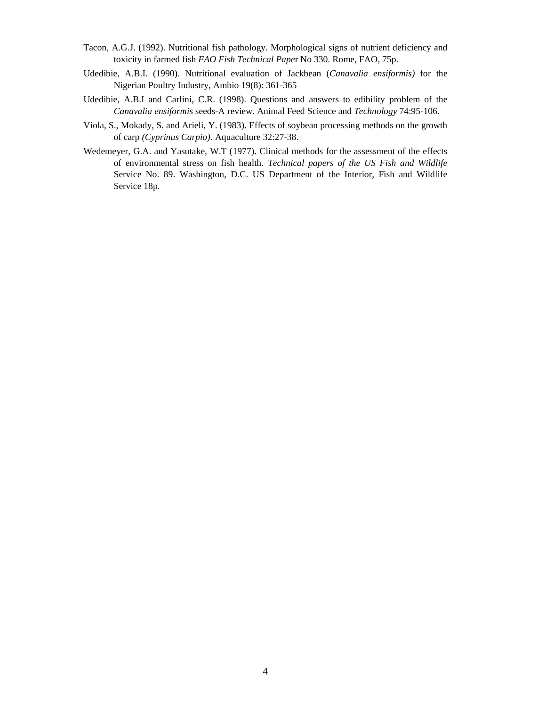- Tacon, A.G.J. (1992). Nutritional fish pathology. Morphological signs of nutrient deficiency and toxicity in farmed fish *FAO Fish Technical Pape*r No 330. Rome, FAO, 75p.
- Udedibie, A.B.I. (1990). Nutritional evaluation of Jackbean (*Canavalia ensiformis)* for the Nigerian Poultry Industry, Ambio 19(8): 361-365
- Udedibie, A.B.I and Carlini, C.R. (1998). Questions and answers to edibility problem of the *Canavalia ensiformis* seeds-A review. Animal Feed Science and *Technology* 74:95-106.
- Viola, S., Mokady, S. and Arieli, Y. (1983). Effects of soybean processing methods on the growth of carp *(Cyprinus Carpio).* Aquaculture 32:27-38.
- Wedemeyer, G.A. and Yasutake, W.T (1977). Clinical methods for the assessment of the effects of environmental stress on fish health. *Technical papers of the US Fish and Wildlife*  Service No. 89. Washington, D.C. US Department of the Interior, Fish and Wildlife Service 18p.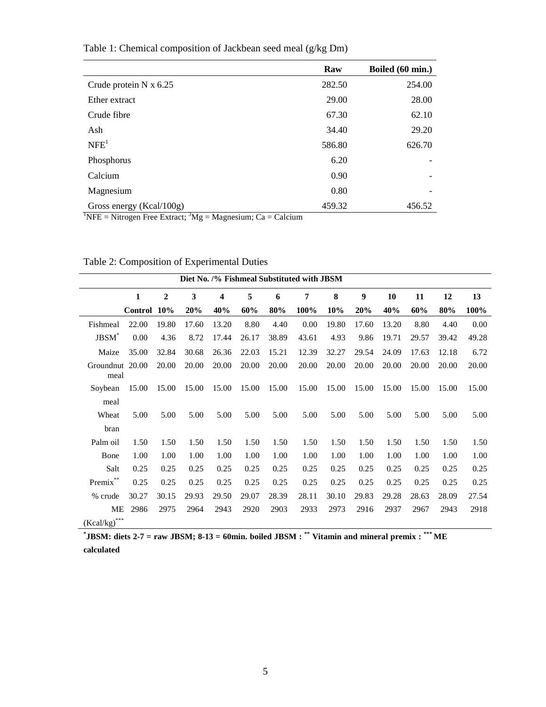|                                                                                                                  | Raw    | Boiled (60 min.) |
|------------------------------------------------------------------------------------------------------------------|--------|------------------|
| Crude protein $N \times 6.25$                                                                                    | 282.50 | 254.00           |
| Ether extract                                                                                                    | 29.00  | 28.00            |
| Crude fibre                                                                                                      | 67.30  | 62.10            |
| Ash                                                                                                              | 34.40  | 29.20            |
| NFE <sup>1</sup>                                                                                                 | 586.80 | 626.70           |
| Phosphorus                                                                                                       | 6.20   |                  |
| Calcium                                                                                                          | 0.90   |                  |
| Magnesium                                                                                                        | 0.80   |                  |
| Gross energy (Kcal/100g)<br>$\frac{1}{2}$ NEE – Nitrogen Ereo Extreet: $\frac{3}{2}Mg = Mg$ gnegium: $Ca = Colq$ | 459.32 | 456.52           |

Table 1: Chemical composition of Jackbean seed meal (g/kg Dm)

<sup>1</sup>NFE = Nitrogen Free Extract; <sup>3</sup>Mg = Magnesium; Ca = Calcium

| Diet No. /% Fishmeal Substituted with JBSM |                |                |       |       |       |       |       |       |       |       |       |       |       |
|--------------------------------------------|----------------|----------------|-------|-------|-------|-------|-------|-------|-------|-------|-------|-------|-------|
|                                            | 1              | $\overline{2}$ | 3     | 4     | 5     | 6     | 7     | 8     | 9     | 10    | 11    | 12    | 13    |
|                                            | <b>Control</b> | 10%            | 20%   | 40%   | 60%   | 80%   | 100%  | 10%   | 20%   | 40%   | 60%   | 80%   | 100%  |
| Fishmeal                                   | 22.00          | 19.80          | 17.60 | 13.20 | 8.80  | 4.40  | 0.00  | 19.80 | 17.60 | 13.20 | 8.80  | 4.40  | 0.00  |
| JBSM <sup>*</sup>                          | 0.00           | 4.36           | 8.72  | 17.44 | 26.17 | 38.89 | 43.61 | 4.93  | 9.86  | 19.71 | 29.57 | 39.42 | 49.28 |
| Maize                                      | 35.00          | 32.84          | 30.68 | 26.36 | 22.03 | 15.21 | 12.39 | 32.27 | 29.54 | 24.09 | 17.63 | 12.18 | 6.72  |
| Groundnut 20.00<br>meal                    |                | 20.00          | 20.00 | 20.00 | 20.00 | 20.00 | 20.00 | 20.00 | 20.00 | 20.00 | 20.00 | 20.00 | 20.00 |
| Soybean                                    | 15.00          | 15.00          | 15.00 | 15.00 | 15.00 | 15.00 | 15.00 | 15.00 | 15.00 | 15.00 | 15.00 | 15.00 | 15.00 |
| meal                                       |                |                |       |       |       |       |       |       |       |       |       |       |       |
| Wheat                                      | 5.00           | 5.00           | 5.00  | 5.00  | 5.00  | 5.00  | 5.00  | 5.00  | 5.00  | 5.00  | 5.00  | 5.00  | 5.00  |
| bran                                       |                |                |       |       |       |       |       |       |       |       |       |       |       |
| Palm oil                                   | 1.50           | 1.50           | 1.50  | 1.50  | 1.50  | 1.50  | 1.50  | 1.50  | 1.50  | 1.50  | 1.50  | 1.50  | 1.50  |
| Bone                                       | 1.00           | 1.00           | 1.00  | 1.00  | 1.00  | 1.00  | 1.00  | 1.00  | 1.00  | 1.00  | 1.00  | 1.00  | 1.00  |
| Salt                                       | 0.25           | 0.25           | 0.25  | 0.25  | 0.25  | 0.25  | 0.25  | 0.25  | 0.25  | 0.25  | 0.25  | 0.25  | 0.25  |
| $\mbox{Premix}^{**}$                       | 0.25           | 0.25           | 0.25  | 0.25  | 0.25  | 0.25  | 0.25  | 0.25  | 0.25  | 0.25  | 0.25  | 0.25  | 0.25  |
| % crude                                    | 30.27          | 30.15          | 29.93 | 29.50 | 29.07 | 28.39 | 28.11 | 30.10 | 29.83 | 29.28 | 28.63 | 28.09 | 27.54 |
| ME                                         | 2986           | 2975           | 2964  | 2943  | 2920  | 2903  | 2933  | 2973  | 2916  | 2937  | 2967  | 2943  | 2918  |
| $\left(Kcal/kg\right)^{***}$               |                |                |       |       |       |       |       |       |       |       |       |       |       |

Table 2: Composition of Experimental Duties

**\* JBSM: diets 2-7 = raw JBSM; 8-13 = 60min. boiled JBSM : \*\* Vitamin and mineral premix : \*\*\* ME calculated**